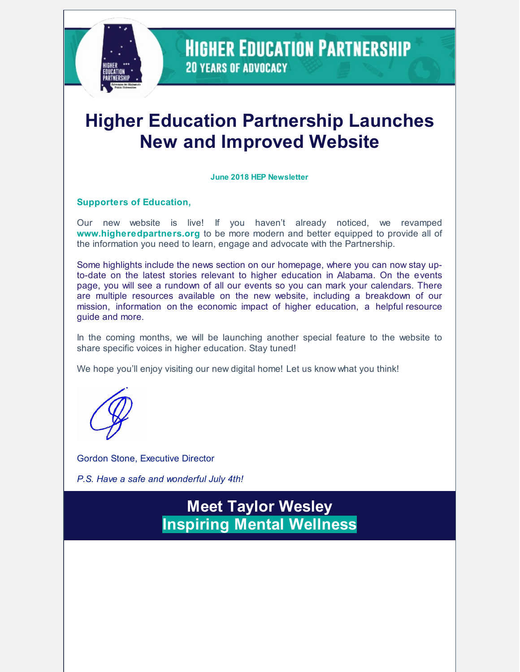

**HIGHER EDUCATION PARTNERSHIP 20 YEARS OF ADVOCACY** 

# **Higher Education Partnership Launches New and Improved Website**

#### **June 2018 HEP Newsletter**

#### **Supporters of Education,**

Our new website is live! If you haven't already noticed, we revamped **[www.higheredpartners.org](http://www.higheredpartners.org/)** to be more modern and better equipped to provide all of the information you need to learn, engage and advocate with the Partnership.

Some highlights include the [news](https://www.higheredpartners.org/) section on our homepage, where you can now stay upto-date on the latest stories relevant to higher education in Alabama. On the e[vents](https://www.higheredpartners.org/events) page, you will see a rundown of all our events so you can mark your calendars. There are multiple resources available on the new website, including a breakdown of our [mission](https://www.higheredpartners.org/about), [information](https://www.higheredpartners.org/resource-guide-1) on the economic impact of higher [education](https://www.higheredpartners.org/economic-impact-1), a helpful resource guide and more.

In the coming months, we will be launching another special feature to the website to share specific voices in higher education. Stay tuned!

We hope you'll enjoy visiting our new digital home! Let us know what you think!

Gordon Stone, Executive Director

*P.S. Have a safe and wonderful July 4th!*

**Meet Taylor Wesley Inspiring Mental Wellness**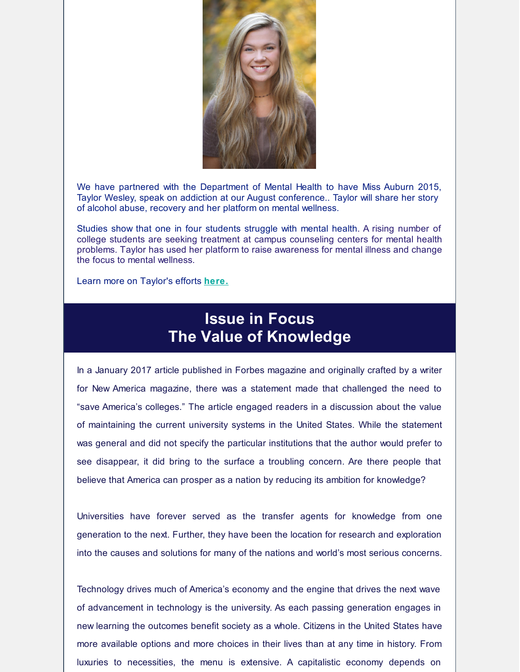

We have partnered with the Department of Mental Health to have Miss Auburn 2015, Taylor Wesley, speak on addiction at our August conference.. Taylor will share her story of alcohol abuse, recovery and her platform on mental wellness.

Studies show that one in four students struggle with mental health. A rising number of college students are seeking treatment at campus counseling centers for mental health problems. Taylor has used her platform to raise awareness for mental illness and change the focus to mental wellness.

Learn more on Taylor's efforts **[here.](https://www.taylor-wesley.com/)**

### **Issue in Focus The Value of Knowledge**

In a January 2017 article published in Forbes magazine and originally crafted by a writer for New America magazine, there was a statement made that challenged the need to "save America's colleges." The article engaged readers in a discussion about the value of maintaining the current university systems in the United States. While the statement was general and did not specify the particular institutions that the author would prefer to see disappear, it did bring to the surface a troubling concern. Are there people that believe that America can prosper as a nation by reducing its ambition for knowledge?

Universities have forever served as the transfer agents for knowledge from one generation to the next. Further, they have been the location for research and exploration into the causes and solutions for many of the nations and world's most serious concerns.

Technology drives much of America's economy and the engine that drives the next wave of advancement in technology is the university. As each passing generation engages in new learning the outcomes benefit society as a whole. Citizens in the United States have more available options and more choices in their lives than at any time in history. From luxuries to necessities, the menu is extensive. A capitalistic economy depends on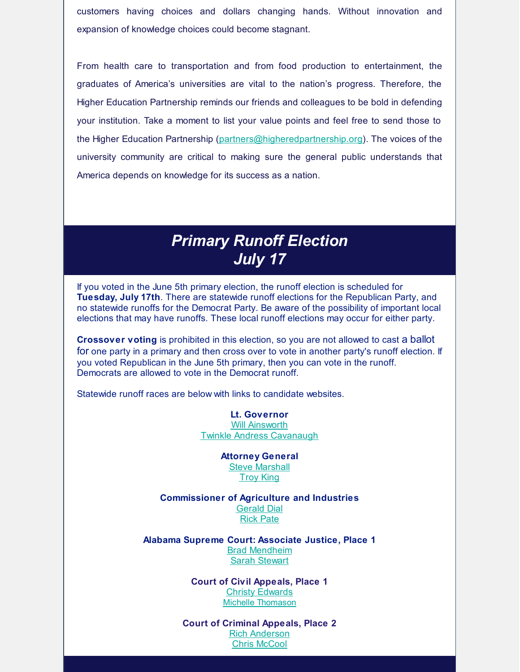customers having choices and dollars changing hands. Without innovation and expansion of knowledge choices could become stagnant.

From health care to transportation and from food production to entertainment, the graduates of America's universities are vital to the nation's progress. Therefore, the Higher Education Partnership reminds our friends and colleagues to be bold in defending your institution. Take a moment to list your value points and feel free to send those to the Higher Education Partnership [\(partners@higheredpartnership.org](mailto:partners@higheredpartnership.org)). The voices of the university community are critical to making sure the general public understands that America depends on knowledge for its success as a nation.

### *Primary Runoff Election July 17*

If you voted in the June 5th primary election, the runoff election is scheduled for **Tuesday, July 17th**. There are statewide runoff elections for the Republican Party, and no statewide runoffs for the Democrat Party. Be aware of the possibility of important local elections that may have runoffs. These local runoff elections may occur for either party.

**Crossover voting** is prohibited in this election, so you are not allowed to cast a ballot for one party in a primary and then cross over to vote in another party's runoff election. If you voted Republican in the June 5th primary, then you can vote in the runoff. Democrats are allowed to vote in the Democrat runoff.

Statewide runoff races are below with links to candidate websites.

**Lt. Governor** Will [Ainsworth](https://www.ainsworthforalabama.com) Twinkle Andress [Cavanaugh](http://twinkleforalabama.com)

> **Attorney General Steve [Marshall](https://stevemarshall.gop)** [Troy](http://takingalabamaback.com/) King

**Commissioner of Agriculture and Industries** [Gerald](https://www.itsdialtime.com) Dial Rick [Pate](https://www.rickpate.com)

**Alabama Supreme Court: Associate Justice, Place 1** Brad [Mendheim](https://www.mendheimforalabama.com) Sarah [Stewart](http://www.judgesarahstewart.com)

> **Court of Civil Appeals, Place 1 Christy [Edwards](https://www.electjudgechristyedwards.com)** Michelle [Thomason](https://judgethomasonforalabama.com/)

**Court of Criminal Appeals, Place 2** Rich [Anderson](http://www.andersonforalabama.com/) **Chris [McCool](http://www.chrismccoolforcourtofcriminalappeals.com)**